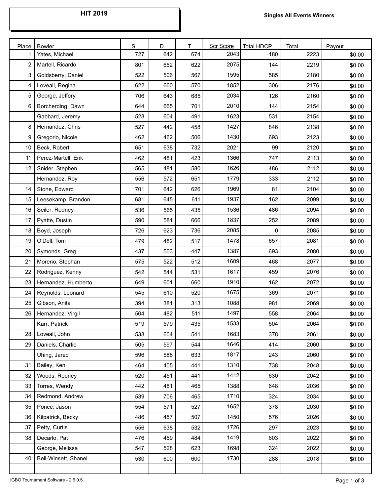| Place | <b>Bowler</b>        | S   | D   | T   | <b>Scr Score</b> | <b>Total HDCP</b> | Total | Payout |
|-------|----------------------|-----|-----|-----|------------------|-------------------|-------|--------|
| 1     | Yates, Michael       | 727 | 642 | 674 | 2043             | 180               | 2223  | \$0.00 |
| 2     | Martell, Ricardo     | 801 | 652 | 622 | 2075             | 144               | 2219  | \$0.00 |
| 3     | Goldsberry, Daniel   | 522 | 506 | 567 | 1595             | 585               | 2180  | \$0.00 |
| 4     | Loveall, Regina      | 622 | 660 | 570 | 1852             | 306               | 2176  | \$0.00 |
| 5     | George, Jeffery      | 706 | 643 | 685 | 2034             | 126               | 2160  | \$0.00 |
| 6     | Borcherding, Dawn    | 644 | 665 | 701 | 2010             | 144               | 2154  | \$0.00 |
|       | Gabbard, Jeremy      | 528 | 604 | 491 | 1623             | 531               | 2154  | \$0.00 |
| 8     | Hernandez, Chris     | 527 | 442 | 458 | 1427             | 846               | 2138  | \$0.00 |
| 9     | Gregorio, Nicole     | 462 | 462 | 506 | 1430             | 693               | 2123  | \$0.00 |
| 10    | Beck, Robert         | 651 | 638 | 732 | 2021             | 99                | 2120  | \$0.00 |
| 11    | Perez-Martell, Erik  | 462 | 481 | 423 | 1366             | 747               | 2113  | \$0.00 |
| 12    | Snider, Stephen      | 565 | 481 | 580 | 1626             | 486               | 2112  | \$0.00 |
|       | Hernandez, Roy       | 556 | 572 | 651 | 1779             | 333               | 2112  | \$0.00 |
| 14    | Stone, Edward        | 701 | 642 | 626 | 1969             | 81                | 2104  | \$0.00 |
| 15    | Leesekamp, Brandon   | 681 | 645 | 611 | 1937             | 162               | 2099  | \$0.00 |
| 16    | Seiler, Rodney       | 536 | 565 | 435 | 1536             | 486               | 2094  | \$0.00 |
| 17    | Pyatte, Dustin       | 590 | 581 | 666 | 1837             | 252               | 2089  | \$0.00 |
| 18    | Boyd, Joseph         | 726 | 623 | 736 | 2085             | 0                 | 2085  | \$0.00 |
| 19    | O'Dell, Tom          | 479 | 482 | 517 | 1478             | 657               | 2081  | \$0.00 |
| 20    | Symonds, Greg        | 437 | 503 | 447 | 1387             | 693               | 2080  | \$0.00 |
| 21    | Moreno, Stephan      | 575 | 522 | 512 | 1609             | 468               | 2077  | \$0.00 |
| 22    | Rodriguez, Kenny     | 542 | 544 | 531 | 1617             | 459               | 2076  | \$0.00 |
| 23    | Hernandez, Humberto  | 649 | 601 | 660 | 1910             | 162               | 2072  | \$0.00 |
| 24    | Reynolds, Leonard    | 545 | 610 | 520 | 1675             | 369               | 2071  | \$0.00 |
| 25    | Gibson, Anita        | 394 | 381 | 313 | 1088             | 981               | 2069  | \$0.00 |
| 26    | Hernandez, Virgil    | 504 | 482 | 511 | 1497             | 558               | 2064  | \$0.00 |
|       | Karr, Patrick        | 519 | 579 | 435 | 1533             | 504               | 2064  | \$0.00 |
| 28    | Loveall, John        | 538 | 604 | 541 | 1683             | 378               | 2061  | \$0.00 |
| 29    | Daniels, Charlie     | 505 | 597 | 544 | 1646             | 414               | 2060  | \$0.00 |
|       | Uhing, Jared         | 596 | 588 | 633 | 1817             | 243               | 2060  | \$0.00 |
| 31    | Bailey, Ken          | 464 | 405 | 441 | 1310             | 738               | 2048  | \$0.00 |
| 32    | Woods, Rodney        | 520 | 451 | 441 | 1412             | 630               | 2042  | \$0.00 |
| 33    | Torres, Wendy        | 442 | 481 | 465 | 1388             | 648               | 2036  | \$0.00 |
| 34    | Redmond, Andrew      | 539 | 706 | 465 | 1710             | 324               | 2034  | \$0.00 |
| 35    | Ponce, Jason         | 554 | 571 | 527 | 1652             | 378               | 2030  | \$0.00 |
| 36    | Kilpatrick, Becky    | 486 | 457 | 507 | 1450             | 576               | 2026  | \$0.00 |
| 37    | Petty, Curtis        | 556 | 638 | 532 | 1726             | 297               | 2023  | \$0.00 |
| 38    | Decarlo, Pat         | 476 | 459 | 484 | 1419             | 603               | 2022  | \$0.00 |
|       | George, Melissa      | 547 | 528 | 623 | 1698             | 324               | 2022  | \$0.00 |
| 40    | Bell-Winsett, Shanel | 530 | 600 | 600 | 1730             | 288               | 2018  | \$0.00 |
|       |                      |     |     |     |                  |                   |       |        |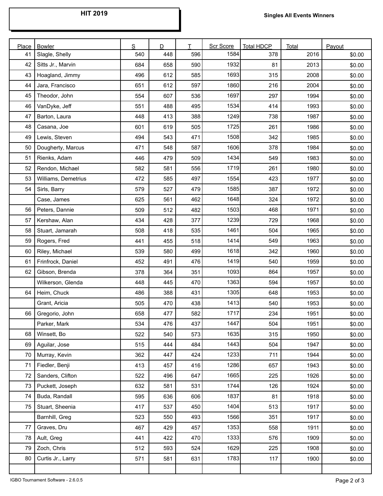| Place | <b>Bowler</b>       | S   | D   | T   | Scr Score | <b>Total HDCP</b> | Total | Payout |
|-------|---------------------|-----|-----|-----|-----------|-------------------|-------|--------|
| 41    | Slagle, Shelly      | 540 | 448 | 596 | 1584      | 378               | 2016  | \$0.00 |
| 42    | Sitts Jr., Marvin   | 684 | 658 | 590 | 1932      | 81                | 2013  | \$0.00 |
| 43    | Hoagland, Jimmy     | 496 | 612 | 585 | 1693      | 315               | 2008  | \$0.00 |
| 44    | Jara, Francisco     | 651 | 612 | 597 | 1860      | 216               | 2004  | \$0.00 |
| 45    | Theodor, John       | 554 | 607 | 536 | 1697      | 297               | 1994  | \$0.00 |
| 46    | VanDyke, Jeff       | 551 | 488 | 495 | 1534      | 414               | 1993  | \$0.00 |
| 47    | Barton, Laura       | 448 | 413 | 388 | 1249      | 738               | 1987  | \$0.00 |
| 48    | Casana, Joe         | 601 | 619 | 505 | 1725      | 261               | 1986  | \$0.00 |
| 49    | Lewis, Steven       | 494 | 543 | 471 | 1508      | 342               | 1985  | \$0.00 |
| 50    | Dougherty, Marcus   | 471 | 548 | 587 | 1606      | 378               | 1984  | \$0.00 |
| 51    | Rienks, Adam        | 446 | 479 | 509 | 1434      | 549               | 1983  | \$0.00 |
| 52    | Rendon, Michael     | 582 | 581 | 556 | 1719      | 261               | 1980  | \$0.00 |
| 53    | Williams, Demetrius | 472 | 585 | 497 | 1554      | 423               | 1977  | \$0.00 |
| 54    | Sirls, Barry        | 579 | 527 | 479 | 1585      | 387               | 1972  | \$0.00 |
|       | Case, James         | 625 | 561 | 462 | 1648      | 324               | 1972  | \$0.00 |
| 56    | Peters, Dannie      | 509 | 512 | 482 | 1503      | 468               | 1971  | \$0.00 |
| 57    | Kershaw, Alan       | 434 | 428 | 377 | 1239      | 729               | 1968  | \$0.00 |
| 58    | Stuart, Jamarah     | 508 | 418 | 535 | 1461      | 504               | 1965  | \$0.00 |
| 59    | Rogers, Fred        | 441 | 455 | 518 | 1414      | 549               | 1963  | \$0.00 |
| 60    | Riley, Michael      | 539 | 580 | 499 | 1618      | 342               | 1960  | \$0.00 |
| 61    | Frinfrock, Daniel   | 452 | 491 | 476 | 1419      | 540               | 1959  | \$0.00 |
| 62    | Gibson, Brenda      | 378 | 364 | 351 | 1093      | 864               | 1957  | \$0.00 |
|       | Wilkerson, Glenda   | 448 | 445 | 470 | 1363      | 594               | 1957  | \$0.00 |
| 64    | Heim, Chuck         | 486 | 388 | 431 | 1305      | 648               | 1953  | \$0.00 |
|       | Grant, Aricia       | 505 | 470 | 438 | 1413      | 540               | 1953  | \$0.00 |
| 66    | Gregorio, John      | 658 | 477 | 582 | 1717      | 234               | 1951  | \$0.00 |
|       | Parker, Mark        | 534 | 476 | 437 | 1447      | 504               | 1951  | \$0.00 |
| 68    | Winsett, Bo         | 522 | 540 | 573 | 1635      | 315               | 1950  | \$0.00 |
| 69    | Aguilar, Jose       | 515 | 444 | 484 | 1443      | 504               | 1947  | \$0.00 |
| 70    | Murray, Kevin       | 362 | 447 | 424 | 1233      | 711               | 1944  | \$0.00 |
| 71    | Fiedler, Benji      | 413 | 457 | 416 | 1286      | 657               | 1943  | \$0.00 |
| 72    | Sanders, Clifton    | 522 | 496 | 647 | 1665      | 225               | 1926  | \$0.00 |
| 73    | Puckett, Joseph     | 632 | 581 | 531 | 1744      | 126               | 1924  | \$0.00 |
| 74    | Buda, Randall       | 595 | 636 | 606 | 1837      | 81                | 1918  | \$0.00 |
| 75    | Stuart, Sheenia     | 417 | 537 | 450 | 1404      | 513               | 1917  | \$0.00 |
|       | Barnhill, Greg      | 523 | 550 | 493 | 1566      | 351               | 1917  | \$0.00 |
| 77    | Graves, Dru         | 467 | 429 | 457 | 1353      | 558               | 1911  | \$0.00 |
| 78    | Ault, Greg          | 441 | 422 | 470 | 1333      | 576               | 1909  | \$0.00 |
| 79    | Zoch, Chris         | 512 | 593 | 524 | 1629      | 225               | 1908  | \$0.00 |
| 80    | Curtis Jr., Larry   | 571 | 581 | 631 | 1783      | 117               | 1900  | \$0.00 |
|       |                     |     |     |     |           |                   |       |        |